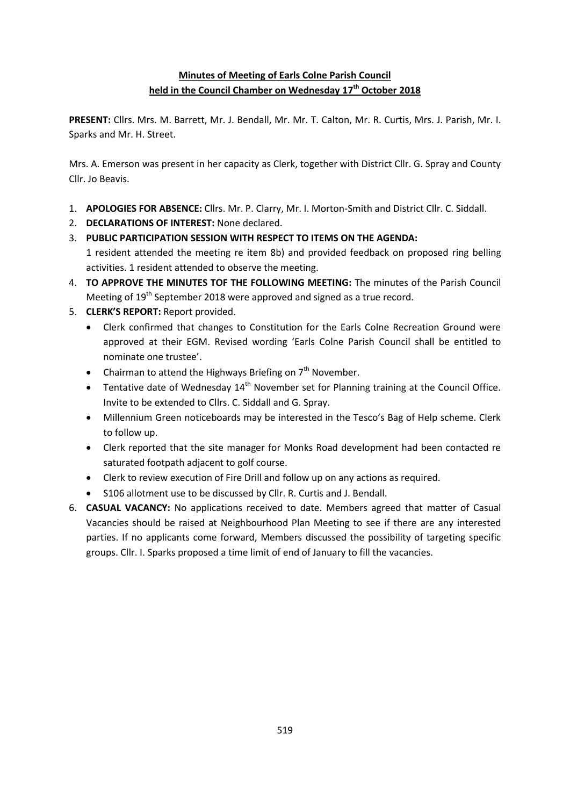# **Minutes of Meeting of Earls Colne Parish Council held in the Council Chamber on Wednesday 17 th October 2018**

**PRESENT:** Cllrs. Mrs. M. Barrett, Mr. J. Bendall, Mr. Mr. T. Calton, Mr. R. Curtis, Mrs. J. Parish, Mr. I. Sparks and Mr. H. Street.

Mrs. A. Emerson was present in her capacity as Clerk, together with District Cllr. G. Spray and County Cllr. Jo Beavis.

- 1. **APOLOGIES FOR ABSENCE:** Cllrs. Mr. P. Clarry, Mr. I. Morton-Smith and District Cllr. C. Siddall.
- 2. **DECLARATIONS OF INTEREST:** None declared.
- 3. **PUBLIC PARTICIPATION SESSION WITH RESPECT TO ITEMS ON THE AGENDA:** 1 resident attended the meeting re item 8b) and provided feedback on proposed ring belling activities. 1 resident attended to observe the meeting.
- 4. **TO APPROVE THE MINUTES TOF THE FOLLOWING MEETING:** The minutes of the Parish Council Meeting of 19<sup>th</sup> September 2018 were approved and signed as a true record.
- 5. **CLERK'S REPORT:** Report provided.
	- Clerk confirmed that changes to Constitution for the Earls Colne Recreation Ground were approved at their EGM. Revised wording 'Earls Colne Parish Council shall be entitled to nominate one trustee'.
	- Chairman to attend the Highways Briefing on  $7<sup>th</sup>$  November.
	- Tentative date of Wednesday  $14<sup>th</sup>$  November set for Planning training at the Council Office. Invite to be extended to Cllrs. C. Siddall and G. Spray.
	- Millennium Green noticeboards may be interested in the Tesco's Bag of Help scheme. Clerk to follow up.
	- Clerk reported that the site manager for Monks Road development had been contacted re saturated footpath adjacent to golf course.
	- Clerk to review execution of Fire Drill and follow up on any actions as required.
	- S106 allotment use to be discussed by Cllr. R. Curtis and J. Bendall.
- 6. **CASUAL VACANCY:** No applications received to date. Members agreed that matter of Casual Vacancies should be raised at Neighbourhood Plan Meeting to see if there are any interested parties. If no applicants come forward, Members discussed the possibility of targeting specific groups. Cllr. I. Sparks proposed a time limit of end of January to fill the vacancies.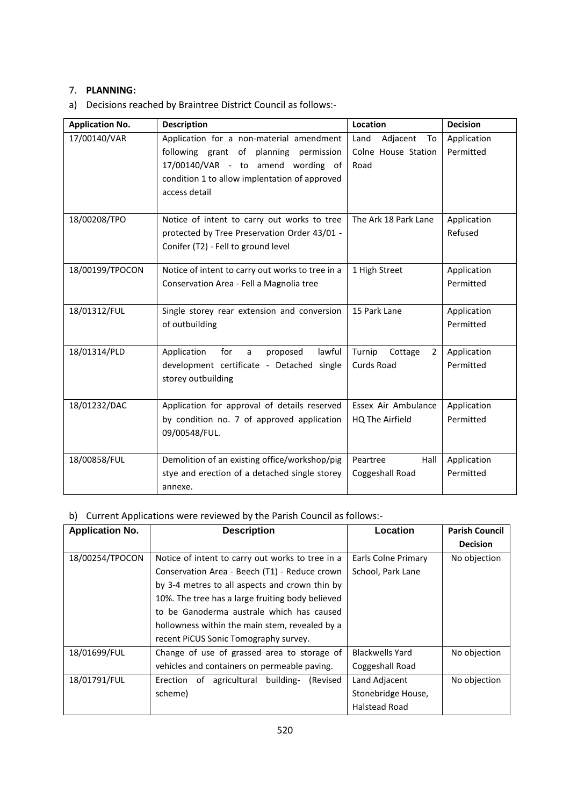## 7. **PLANNING:**

a) Decisions reached by Braintree District Council as follows:-

| <b>Application No.</b> | <b>Description</b>                               | Location               | <b>Decision</b> |
|------------------------|--------------------------------------------------|------------------------|-----------------|
| 17/00140/VAR           | Application for a non-material amendment         | Land<br>Adjacent<br>To | Application     |
|                        | following grant of planning permission           | Colne House Station    | Permitted       |
|                        | 17/00140/VAR - to amend wording of               | Road                   |                 |
|                        | condition 1 to allow implentation of approved    |                        |                 |
|                        | access detail                                    |                        |                 |
|                        |                                                  |                        |                 |
| 18/00208/TPO           | Notice of intent to carry out works to tree      | The Ark 18 Park Lane   | Application     |
|                        | protected by Tree Preservation Order 43/01 -     |                        | Refused         |
|                        | Conifer (T2) - Fell to ground level              |                        |                 |
| 18/00199/TPOCON        | Notice of intent to carry out works to tree in a | 1 High Street          | Application     |
|                        | Conservation Area - Fell a Magnolia tree         |                        | Permitted       |
|                        |                                                  |                        |                 |
| 18/01312/FUL           | Single storey rear extension and conversion      | 15 Park Lane           | Application     |
|                        | of outbuilding                                   |                        | Permitted       |
|                        |                                                  |                        |                 |
| 18/01314/PLD           | Application<br>for<br>proposed<br>lawful<br>a    | Turnip<br>Cottage<br>2 | Application     |
|                        | development certificate - Detached single        | <b>Curds Road</b>      | Permitted       |
|                        | storey outbuilding                               |                        |                 |
| 18/01232/DAC           | Application for approval of details reserved     | Essex Air Ambulance    | Application     |
|                        | by condition no. 7 of approved application       |                        | Permitted       |
|                        | 09/00548/FUL.                                    | HQ The Airfield        |                 |
|                        |                                                  |                        |                 |
| 18/00858/FUL           | Demolition of an existing office/workshop/pig    | Peartree<br>Hall       | Application     |
|                        | stye and erection of a detached single storey    | Coggeshall Road        | Permitted       |
|                        | annexe.                                          |                        |                 |

## b) Current Applications were reviewed by the Parish Council as follows:-

| <b>Application No.</b> | <b>Description</b>                                | Location               | <b>Parish Council</b> |
|------------------------|---------------------------------------------------|------------------------|-----------------------|
|                        |                                                   |                        | <b>Decision</b>       |
| 18/00254/TPOCON        | Notice of intent to carry out works to tree in a  | Earls Colne Primary    | No objection          |
|                        | Conservation Area - Beech (T1) - Reduce crown     | School, Park Lane      |                       |
|                        | by 3-4 metres to all aspects and crown thin by    |                        |                       |
|                        | 10%. The tree has a large fruiting body believed  |                        |                       |
|                        | to be Ganoderma australe which has caused         |                        |                       |
|                        | hollowness within the main stem, revealed by a    |                        |                       |
|                        | recent PiCUS Sonic Tomography survey.             |                        |                       |
| 18/01699/FUL           | Change of use of grassed area to storage of       | <b>Blackwells Yard</b> | No objection          |
|                        | vehicles and containers on permeable paving.      | Coggeshall Road        |                       |
| 18/01791/FUL           | agricultural building-<br>(Revised<br>Erection of | Land Adjacent          | No objection          |
|                        | scheme)                                           | Stonebridge House,     |                       |
|                        |                                                   | <b>Halstead Road</b>   |                       |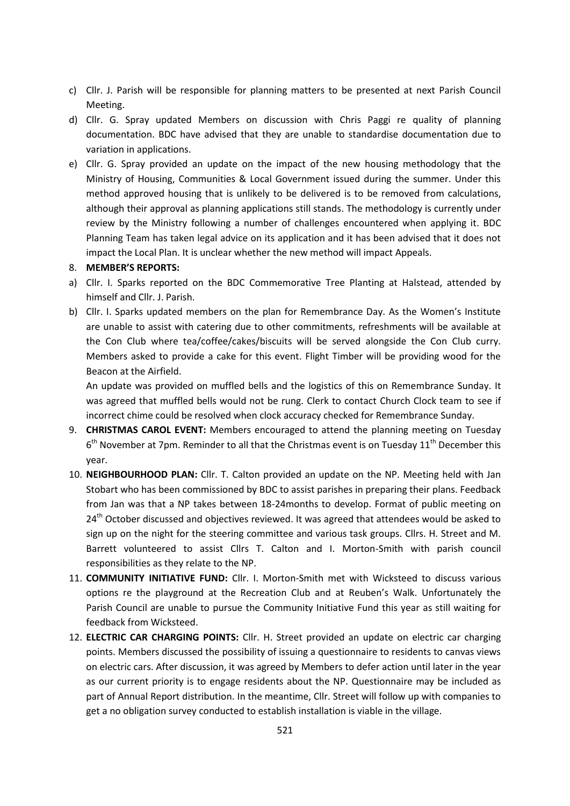- c) Cllr. J. Parish will be responsible for planning matters to be presented at next Parish Council Meeting.
- d) Cllr. G. Spray updated Members on discussion with Chris Paggi re quality of planning documentation. BDC have advised that they are unable to standardise documentation due to variation in applications.
- e) Cllr. G. Spray provided an update on the impact of the new housing methodology that the Ministry of Housing, Communities & Local Government issued during the summer. Under this method approved housing that is unlikely to be delivered is to be removed from calculations, although their approval as planning applications still stands. The methodology is currently under review by the Ministry following a number of challenges encountered when applying it. BDC Planning Team has taken legal advice on its application and it has been advised that it does not impact the Local Plan. It is unclear whether the new method will impact Appeals.

#### 8. **MEMBER'S REPORTS:**

- a) Cllr. I. Sparks reported on the BDC Commemorative Tree Planting at Halstead, attended by himself and Cllr. J. Parish.
- b) Cllr. I. Sparks updated members on the plan for Remembrance Day. As the Women's Institute are unable to assist with catering due to other commitments, refreshments will be available at the Con Club where tea/coffee/cakes/biscuits will be served alongside the Con Club curry. Members asked to provide a cake for this event. Flight Timber will be providing wood for the Beacon at the Airfield.

An update was provided on muffled bells and the logistics of this on Remembrance Sunday. It was agreed that muffled bells would not be rung. Clerk to contact Church Clock team to see if incorrect chime could be resolved when clock accuracy checked for Remembrance Sunday.

- 9. **CHRISTMAS CAROL EVENT:** Members encouraged to attend the planning meeting on Tuesday  $6<sup>th</sup>$  November at 7pm. Reminder to all that the Christmas event is on Tuesday 11<sup>th</sup> December this year.
- 10. **NEIGHBOURHOOD PLAN:** Cllr. T. Calton provided an update on the NP. Meeting held with Jan Stobart who has been commissioned by BDC to assist parishes in preparing their plans. Feedback from Jan was that a NP takes between 18-24months to develop. Format of public meeting on  $24<sup>th</sup>$  October discussed and objectives reviewed. It was agreed that attendees would be asked to sign up on the night for the steering committee and various task groups. Cllrs. H. Street and M. Barrett volunteered to assist Cllrs T. Calton and I. Morton-Smith with parish council responsibilities as they relate to the NP.
- 11. **COMMUNITY INITIATIVE FUND:** Cllr. I. Morton-Smith met with Wicksteed to discuss various options re the playground at the Recreation Club and at Reuben's Walk. Unfortunately the Parish Council are unable to pursue the Community Initiative Fund this year as still waiting for feedback from Wicksteed.
- 12. **ELECTRIC CAR CHARGING POINTS:** Cllr. H. Street provided an update on electric car charging points. Members discussed the possibility of issuing a questionnaire to residents to canvas views on electric cars. After discussion, it was agreed by Members to defer action until later in the year as our current priority is to engage residents about the NP. Questionnaire may be included as part of Annual Report distribution. In the meantime, Cllr. Street will follow up with companies to get a no obligation survey conducted to establish installation is viable in the village.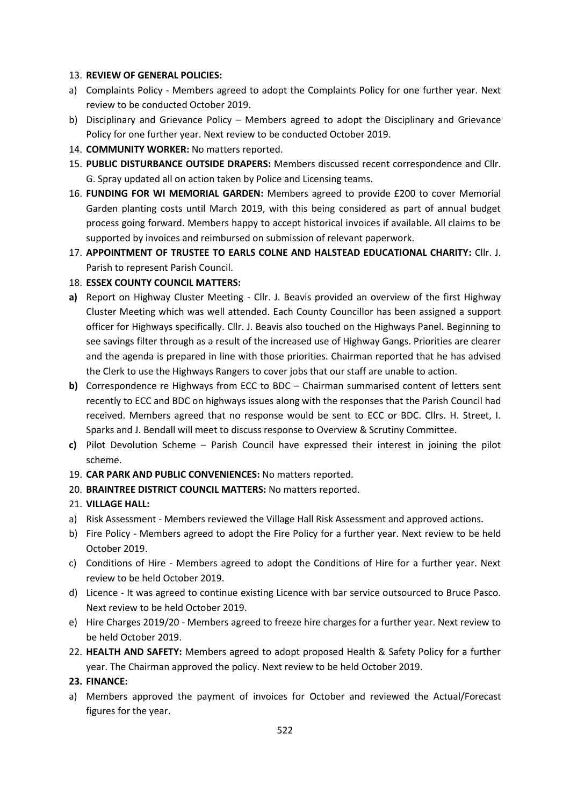### 13. **REVIEW OF GENERAL POLICIES:**

- a) Complaints Policy Members agreed to adopt the Complaints Policy for one further year. Next review to be conducted October 2019.
- b) Disciplinary and Grievance Policy Members agreed to adopt the Disciplinary and Grievance Policy for one further year. Next review to be conducted October 2019.
- 14. **COMMUNITY WORKER:** No matters reported.
- 15. **PUBLIC DISTURBANCE OUTSIDE DRAPERS:** Members discussed recent correspondence and Cllr. G. Spray updated all on action taken by Police and Licensing teams.
- 16. **FUNDING FOR WI MEMORIAL GARDEN:** Members agreed to provide £200 to cover Memorial Garden planting costs until March 2019, with this being considered as part of annual budget process going forward. Members happy to accept historical invoices if available. All claims to be supported by invoices and reimbursed on submission of relevant paperwork.
- 17. **APPOINTMENT OF TRUSTEE TO EARLS COLNE AND HALSTEAD EDUCATIONAL CHARITY:** Cllr. J. Parish to represent Parish Council.
- 18. **ESSEX COUNTY COUNCIL MATTERS:**
- **a)** Report on Highway Cluster Meeting Cllr. J. Beavis provided an overview of the first Highway Cluster Meeting which was well attended. Each County Councillor has been assigned a support officer for Highways specifically. Cllr. J. Beavis also touched on the Highways Panel. Beginning to see savings filter through as a result of the increased use of Highway Gangs. Priorities are clearer and the agenda is prepared in line with those priorities. Chairman reported that he has advised the Clerk to use the Highways Rangers to cover jobs that our staff are unable to action.
- **b)** Correspondence re Highways from ECC to BDC Chairman summarised content of letters sent recently to ECC and BDC on highways issues along with the responses that the Parish Council had received. Members agreed that no response would be sent to ECC or BDC. Cllrs. H. Street, I. Sparks and J. Bendall will meet to discuss response to Overview & Scrutiny Committee.
- **c)** Pilot Devolution Scheme Parish Council have expressed their interest in joining the pilot scheme.
- 19. **CAR PARK AND PUBLIC CONVENIENCES:** No matters reported.
- 20. **BRAINTREE DISTRICT COUNCIL MATTERS:** No matters reported.

### 21. **VILLAGE HALL:**

- a) Risk Assessment Members reviewed the Village Hall Risk Assessment and approved actions.
- b) Fire Policy Members agreed to adopt the Fire Policy for a further year. Next review to be held October 2019.
- c) Conditions of Hire Members agreed to adopt the Conditions of Hire for a further year. Next review to be held October 2019.
- d) Licence It was agreed to continue existing Licence with bar service outsourced to Bruce Pasco. Next review to be held October 2019.
- e) Hire Charges 2019/20 Members agreed to freeze hire charges for a further year. Next review to be held October 2019.
- 22. **HEALTH AND SAFETY:** Members agreed to adopt proposed Health & Safety Policy for a further year. The Chairman approved the policy. Next review to be held October 2019.

### **23. FINANCE:**

a) Members approved the payment of invoices for October and reviewed the Actual/Forecast figures for the year.